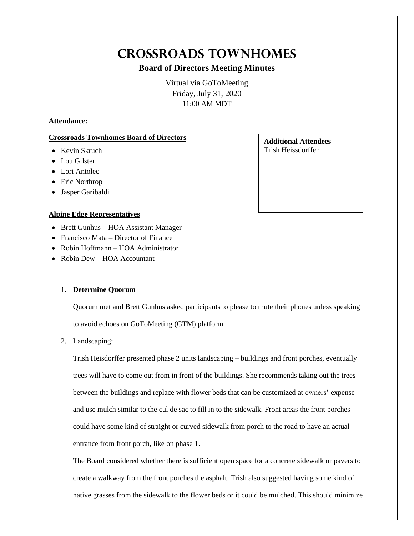# **Crossroads Townhomes**

## **Board of Directors Meeting Minutes**

Virtual via GoToMeeting Friday, July 31, 2020 11:00 AM MDT

## **Attendance:**

## **Crossroads Townhomes Board of Directors**

- Kevin Skruch
- Lou Gilster
- Lori Antolec
- Eric Northrop
- Jasper Garibaldi

## **Alpine Edge Representatives**

- Brett Gunhus HOA Assistant Manager
- Francisco Mata Director of Finance
- Robin Hoffmann HOA Administrator
- Robin Dew HOA Accountant

## 1. **Determine Quorum**

Quorum met and Brett Gunhus asked participants to please to mute their phones unless speaking to avoid echoes on GoToMeeting (GTM) platform

2. Landscaping:

Trish Heisdorffer presented phase 2 units landscaping – buildings and front porches, eventually trees will have to come out from in front of the buildings. She recommends taking out the trees between the buildings and replace with flower beds that can be customized at owners' expense and use mulch similar to the cul de sac to fill in to the sidewalk. Front areas the front porches could have some kind of straight or curved sidewalk from porch to the road to have an actual entrance from front porch, like on phase 1.

The Board considered whether there is sufficient open space for a concrete sidewalk or pavers to create a walkway from the front porches the asphalt. Trish also suggested having some kind of native grasses from the sidewalk to the flower beds or it could be mulched. This should minimize

**Additional Attendees**

Trish Heissdorffer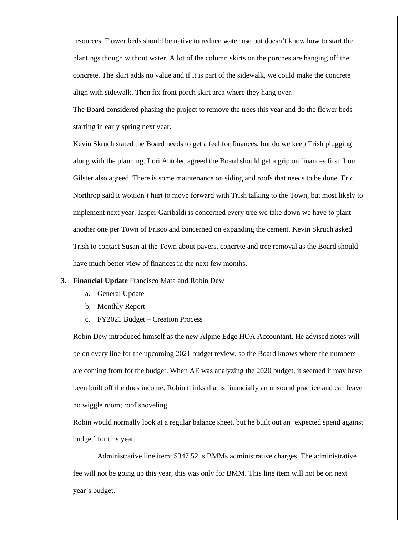resources. Flower beds should be native to reduce water use but doesn't know how to start the plantings though without water. A lot of the column skirts on the porches are hanging off the concrete. The skirt adds no value and if it is part of the sidewalk, we could make the concrete align with sidewalk. Then fix front porch skirt area where they hang over.

The Board considered phasing the project to remove the trees this year and do the flower beds starting in early spring next year.

Kevin Skruch stated the Board needs to get a feel for finances, but do we keep Trish plugging along with the planning. Lori Antolec agreed the Board should get a grip on finances first. Lou Gilster also agreed. There is some maintenance on siding and roofs that needs to be done. Eric Northrop said it wouldn't hurt to move forward with Trish talking to the Town, but most likely to implement next year. Jasper Garibaldi is concerned every tree we take down we have to plant another one per Town of Frisco and concerned on expanding the cement. Kevin Skruch asked Trish to contact Susan at the Town about pavers, concrete and tree removal as the Board should have much better view of finances in the next few months.

#### **3. Financial Update** Francisco Mata and Robin Dew

- a. General Update
- b. Monthly Report
- c. FY2021 Budget Creation Process

Robin Dew introduced himself as the new Alpine Edge HOA Accountant. He advised notes will be on every line for the upcoming 2021 budget review, so the Board knows where the numbers are coming from for the budget. When AE was analyzing the 2020 budget, it seemed it may have been built off the dues income. Robin thinks that is financially an unsound practice and can leave no wiggle room; roof shoveling.

Robin would normally look at a regular balance sheet, but he built out an 'expected spend against budget' for this year.

Administrative line item: \$347.52 is BMMs administrative charges. The administrative fee will not be going up this year, this was only for BMM. This line item will not be on next year's budget.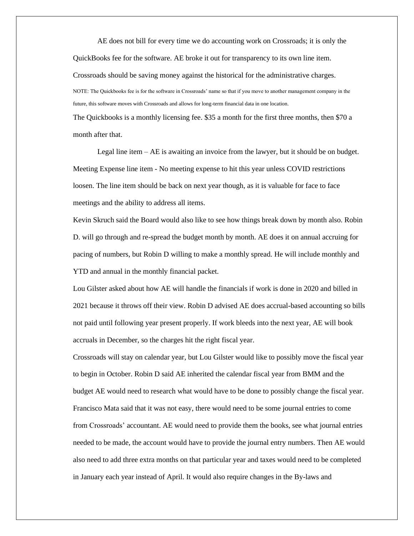AE does not bill for every time we do accounting work on Crossroads; it is only the QuickBooks fee for the software. AE broke it out for transparency to its own line item. Crossroads should be saving money against the historical for the administrative charges. NOTE: The Quickbooks fee is for the software in Crossroads' name so that if you move to another management company in the future, this software moves with Crossroads and allows for long-term financial data in one location.

The Quickbooks is a monthly licensing fee. \$35 a month for the first three months, then \$70 a month after that.

Legal line item – AE is awaiting an invoice from the lawyer, but it should be on budget. Meeting Expense line item - No meeting expense to hit this year unless COVID restrictions loosen. The line item should be back on next year though, as it is valuable for face to face meetings and the ability to address all items.

Kevin Skruch said the Board would also like to see how things break down by month also. Robin D. will go through and re-spread the budget month by month. AE does it on annual accruing for pacing of numbers, but Robin D willing to make a monthly spread. He will include monthly and YTD and annual in the monthly financial packet.

Lou Gilster asked about how AE will handle the financials if work is done in 2020 and billed in 2021 because it throws off their view. Robin D advised AE does accrual-based accounting so bills not paid until following year present properly. If work bleeds into the next year, AE will book accruals in December, so the charges hit the right fiscal year.

Crossroads will stay on calendar year, but Lou Gilster would like to possibly move the fiscal year to begin in October. Robin D said AE inherited the calendar fiscal year from BMM and the budget AE would need to research what would have to be done to possibly change the fiscal year. Francisco Mata said that it was not easy, there would need to be some journal entries to come from Crossroads' accountant. AE would need to provide them the books, see what journal entries needed to be made, the account would have to provide the journal entry numbers. Then AE would also need to add three extra months on that particular year and taxes would need to be completed in January each year instead of April. It would also require changes in the By-laws and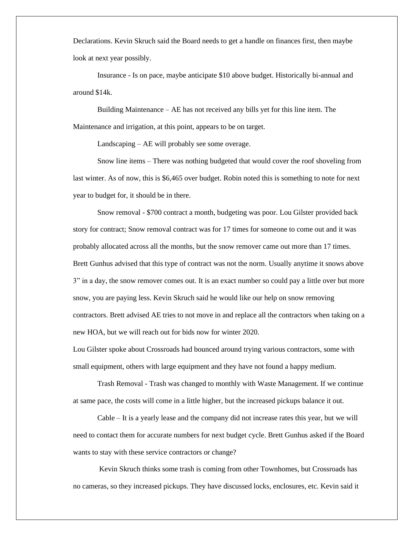Declarations. Kevin Skruch said the Board needs to get a handle on finances first, then maybe look at next year possibly.

Insurance - Is on pace, maybe anticipate \$10 above budget. Historically bi-annual and around \$14k.

Building Maintenance – AE has not received any bills yet for this line item. The Maintenance and irrigation, at this point, appears to be on target.

Landscaping – AE will probably see some overage.

Snow line items – There was nothing budgeted that would cover the roof shoveling from last winter. As of now, this is \$6,465 over budget. Robin noted this is something to note for next year to budget for, it should be in there.

Snow removal - \$700 contract a month, budgeting was poor. Lou Gilster provided back story for contract; Snow removal contract was for 17 times for someone to come out and it was probably allocated across all the months, but the snow remover came out more than 17 times. Brett Gunhus advised that this type of contract was not the norm. Usually anytime it snows above 3" in a day, the snow remover comes out. It is an exact number so could pay a little over but more snow, you are paying less. Kevin Skruch said he would like our help on snow removing contractors. Brett advised AE tries to not move in and replace all the contractors when taking on a new HOA, but we will reach out for bids now for winter 2020.

Lou Gilster spoke about Crossroads had bounced around trying various contractors, some with small equipment, others with large equipment and they have not found a happy medium.

Trash Removal - Trash was changed to monthly with Waste Management. If we continue at same pace, the costs will come in a little higher, but the increased pickups balance it out.

Cable – It is a yearly lease and the company did not increase rates this year, but we will need to contact them for accurate numbers for next budget cycle. Brett Gunhus asked if the Board wants to stay with these service contractors or change?

Kevin Skruch thinks some trash is coming from other Townhomes, but Crossroads has no cameras, so they increased pickups. They have discussed locks, enclosures, etc. Kevin said it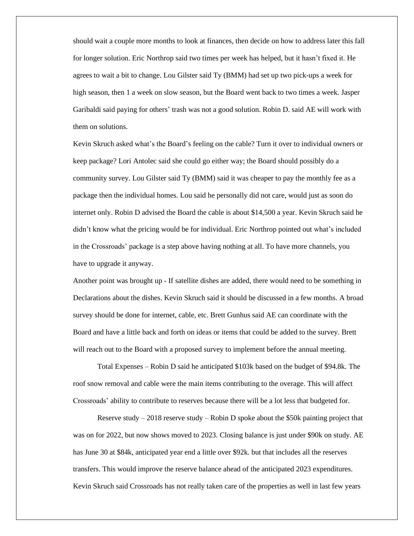should wait a couple more months to look at finances, then decide on how to address later this fall for longer solution. Eric Northrop said two times per week has helped, but it hasn't fixed it. He agrees to wait a bit to change. Lou Gilster said Ty (BMM) had set up two pick-ups a week for high season, then 1 a week on slow season, but the Board went back to two times a week. Jasper Garibaldi said paying for others' trash was not a good solution. Robin D. said AE will work with them on solutions.

Kevin Skruch asked what's the Board's feeling on the cable? Turn it over to individual owners or keep package? Lori Antolec said she could go either way; the Board should possibly do a community survey. Lou Gilster said Ty (BMM) said it was cheaper to pay the monthly fee as a package then the individual homes. Lou said he personally did not care, would just as soon do internet only. Robin D advised the Board the cable is about \$14,500 a year. Kevin Skruch said he didn't know what the pricing would be for individual. Eric Northrop pointed out what's included in the Crossroads' package is a step above having nothing at all. To have more channels, you have to upgrade it anyway.

Another point was brought up - If satellite dishes are added, there would need to be something in Declarations about the dishes. Kevin Skruch said it should be discussed in a few months. A broad survey should be done for internet, cable, etc. Brett Gunhus said AE can coordinate with the Board and have a little back and forth on ideas or items that could be added to the survey. Brett will reach out to the Board with a proposed survey to implement before the annual meeting.

Total Expenses – Robin D said he anticipated \$103k based on the budget of \$94.8k. The roof snow removal and cable were the main items contributing to the overage. This will affect Crossroads' ability to contribute to reserves because there will be a lot less that budgeted for.

Reserve study – 2018 reserve study – Robin D spoke about the \$50k painting project that was on for 2022, but now shows moved to 2023. Closing balance is just under \$90k on study. AE has June 30 at \$84k, anticipated year end a little over \$92k. but that includes all the reserves transfers. This would improve the reserve balance ahead of the anticipated 2023 expenditures. Kevin Skruch said Crossroads has not really taken care of the properties as well in last few years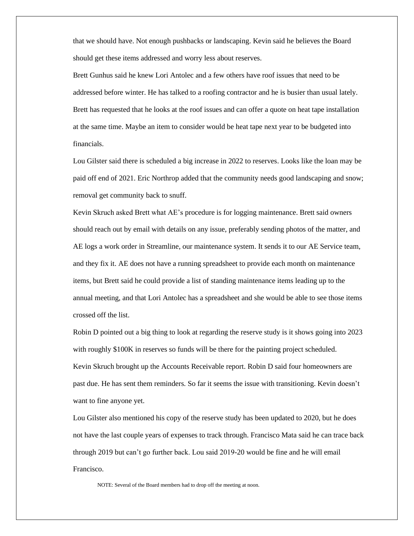that we should have. Not enough pushbacks or landscaping. Kevin said he believes the Board should get these items addressed and worry less about reserves.

Brett Gunhus said he knew Lori Antolec and a few others have roof issues that need to be addressed before winter. He has talked to a roofing contractor and he is busier than usual lately. Brett has requested that he looks at the roof issues and can offer a quote on heat tape installation at the same time. Maybe an item to consider would be heat tape next year to be budgeted into financials.

Lou Gilster said there is scheduled a big increase in 2022 to reserves. Looks like the loan may be paid off end of 2021. Eric Northrop added that the community needs good landscaping and snow; removal get community back to snuff.

Kevin Skruch asked Brett what AE's procedure is for logging maintenance. Brett said owners should reach out by email with details on any issue, preferably sending photos of the matter, and AE logs a work order in Streamline, our maintenance system. It sends it to our AE Service team, and they fix it. AE does not have a running spreadsheet to provide each month on maintenance items, but Brett said he could provide a list of standing maintenance items leading up to the annual meeting, and that Lori Antolec has a spreadsheet and she would be able to see those items crossed off the list.

Robin D pointed out a big thing to look at regarding the reserve study is it shows going into 2023 with roughly \$100K in reserves so funds will be there for the painting project scheduled. Kevin Skruch brought up the Accounts Receivable report. Robin D said four homeowners are past due. He has sent them reminders. So far it seems the issue with transitioning. Kevin doesn't want to fine anyone yet.

Lou Gilster also mentioned his copy of the reserve study has been updated to 2020, but he does not have the last couple years of expenses to track through. Francisco Mata said he can trace back through 2019 but can't go further back. Lou said 2019-20 would be fine and he will email Francisco.

NOTE: Several of the Board members had to drop off the meeting at noon.